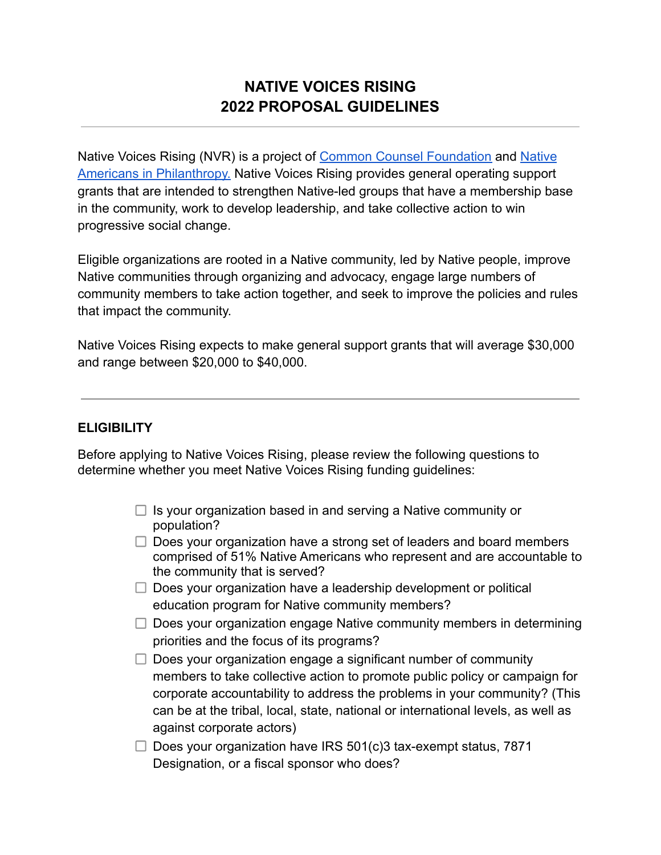# **NATIVE VOICES RISING 2022 PROPOSAL GUIDELINES**

Native Voices Rising (NVR) is a project of Common [Counsel Foundation](https://www.commoncounsel.org/) and [Native](https://nativephilanthropy.org/) [Americans in Philanthropy.](https://nativephilanthropy.org/) Native Voices Rising provides general operating support grants that are intended to strengthen Native-led groups that have a membership base in the community, work to develop leadership, and take collective action to win progressive social change.

Eligible organizations are rooted in a Native community, led by Native people, improve Native communities through organizing and advocacy, engage large numbers of community members to take action together, and seek to improve the policies and rules that impact the community.

Native Voices Rising expects to make general support grants that will average \$30,000 and range between \$20,000 to \$40,000.

# **ELIGIBILITY**

Before applying to Native Voices Rising, please review the following questions to determine whether you meet Native Voices Rising funding guidelines:

- $\Box$  Is your organization based in and serving a Native community or population?
- $\Box$  Does your organization have a strong set of leaders and board members comprised of 51% Native Americans who represent and are accountable to the community that is served?
- $\Box$  Does your organization have a leadership development or political education program for Native community members?
- $\Box$  Does your organization engage Native community members in determining priorities and the focus of its programs?
- $\Box$  Does your organization engage a significant number of community members to take collective action to promote public policy or campaign for corporate accountability to address the problems in your community? (This can be at the tribal, local, state, national or international levels, as well as against corporate actors)
- $\Box$  Does your organization have IRS 501(c)3 tax-exempt status, 7871 Designation, or a fiscal sponsor who does?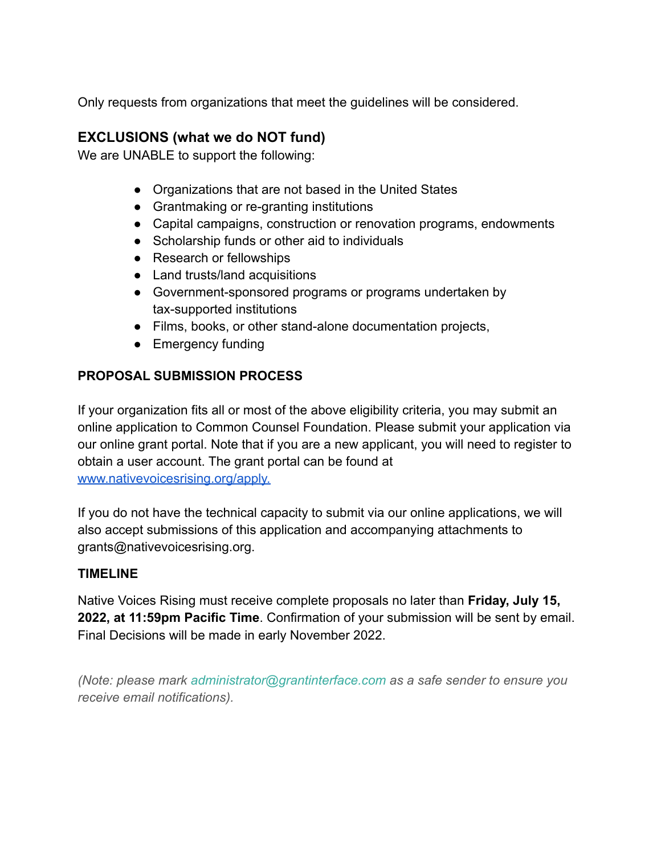Only requests from organizations that meet the guidelines will be considered.

# **EXCLUSIONS (what we do NOT fund)**

We are UNABLE to support the following:

- Organizations that are not based in the United States
- Grantmaking or re-granting institutions
- Capital campaigns, construction or renovation programs, endowments
- Scholarship funds or other aid to individuals
- Research or fellowships
- Land trusts/land acquisitions
- Government-sponsored programs or programs undertaken by tax-supported institutions
- Films, books, or other stand-alone documentation projects,
- Emergency funding

# **PROPOSAL SUBMISSION PROCESS**

If your organization fits all or most of the above eligibility criteria, you may submit an online application to Common Counsel Foundation. Please submit your application via our online grant portal. Note that if you are a new applicant, you will need to register to obtain a user account. The grant portal can be found at [www.nativevoicesrising.org/apply.](https://www.commoncounsel.org/apply)

If you do not have the technical capacity to submit via our online applications, we will also accept submissions of this application and accompanying attachments to grants@nativevoicesrising.org.

# **TIMELINE**

Native Voices Rising must receive complete proposals no later than **Friday, July 15, 2022, at 11:59pm Pacific Time**. Confirmation of your submission will be sent by email. Final Decisions will be made in early November 2022.

*(Note: please mark [administrator@grantinterface.com](https://web.archive.org/web/20200728192459/mailto:administrator@grantinterface.com) as a safe sender to ensure you receive email notifications).*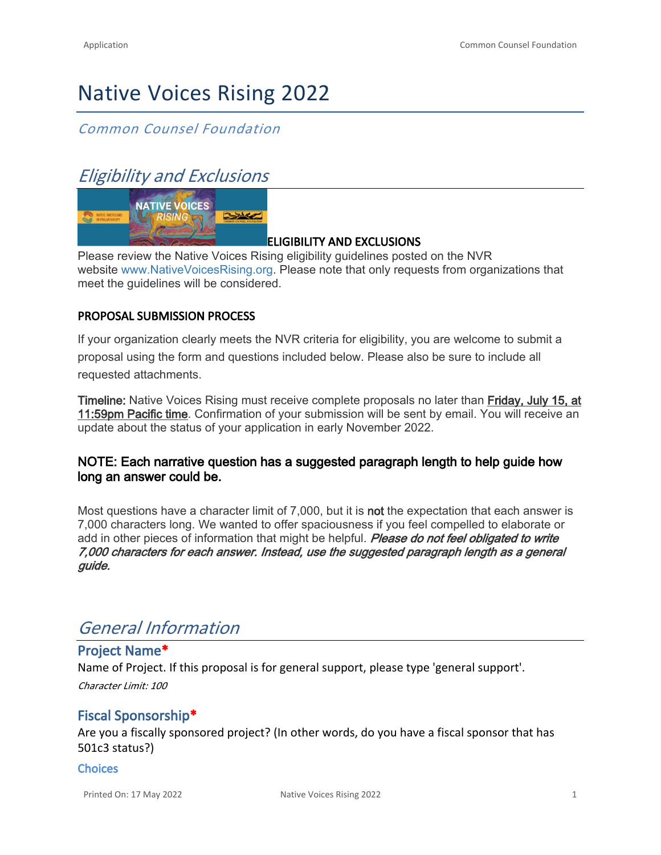# Native Voices Rising 2022

# *Common Counsel Foundation*

# *Eligibility and Exclusions*



# **ELIGIBILITY AND EXCLUSIONS**

Please review the Native Voices Rising eligibility guidelines posted on the NVR website [www.NativeVoicesRising.org.](http://www.nativevoicesrising.org/) Please note that only requests from organizations that meet the guidelines will be considered.

### **PROPOSAL SUBMISSION PROCESS**

If your organization clearly meets the NVR criteria for eligibility, you are welcome to submit a proposal using the form and questions included below. Please also be sure to include all requested attachments.

**Timeline:** Native Voices Rising must receive complete proposals no later than **Friday, July 15, at 11:59pm Pacific time**. Confirmation of your submission will be sent by email. You will receive an update about the status of your application in early November 2022.

# **NOTE: Each narrative question has a suggested paragraph length to help guide how long an answer could be.**

Most questions have a character limit of 7,000, but it is **not** the expectation that each answer is 7,000 characters long. We wanted to offer spaciousness if you feel compelled to elaborate or add in other pieces of information that might be helpful. *Please do not feel obligated to write 7,000 characters for each answer. Instead, use the suggested paragraph length as a general guide.*

# *General Information*

# **Project Name\***

Name of Project. If this proposal is for general support, please type 'general support'. *Character Limit: 100*

# **Fiscal Sponsorship\***

Are you a fiscally sponsored project? (In other words, do you have a fiscal sponsor that has 501c3 status?)

#### **Choices**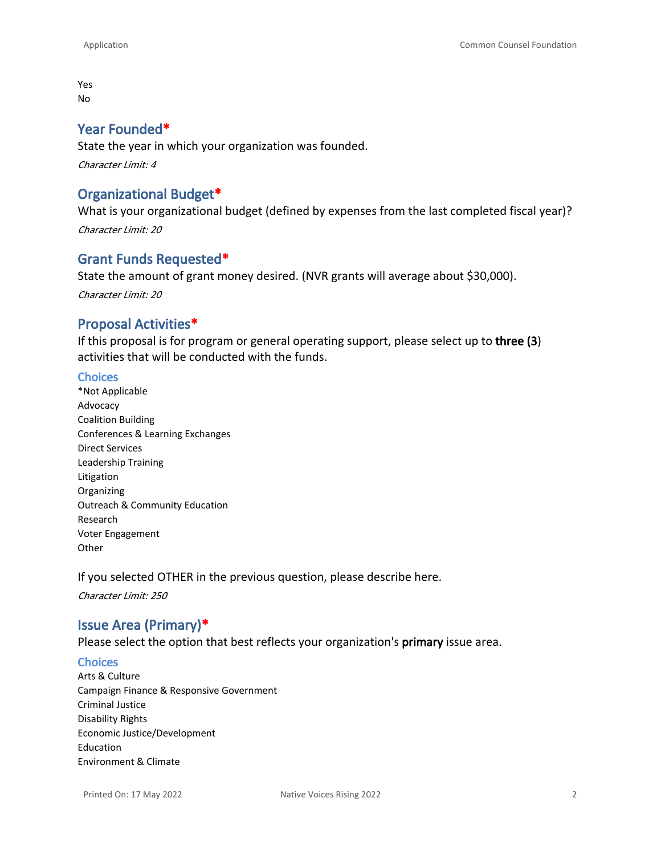Yes No

#### **Year Founded\***

State the year in which your organization was founded. *Character Limit: 4*

# **Organizational Budget\***

What is your organizational budget (defined by expenses from the last completed fiscal year)? *Character Limit: 20*

# **Grant Funds Requested\***

State the amount of grant money desired. (NVR grants will average about \$30,000). *Character Limit: 20*

### **Proposal Activities\***

If this proposal is for program or general operating support, please select up to **three (3**) activities that will be conducted with the funds.

#### **Choices**

\*Not Applicable Advocacy Coalition Building Conferences & Learning Exchanges Direct Services Leadership Training Litigation Organizing Outreach & Community Education Research Voter Engagement **Other** 

If you selected OTHER in the previous question, please describe here.

*Character Limit: 250*

# **Issue Area (Primary)\***

Please select the option that best reflects your organization's **primary** issue area.

#### **Choices**

Arts & Culture Campaign Finance & Responsive Government Criminal Justice Disability Rights Economic Justice/Development Education Environment & Climate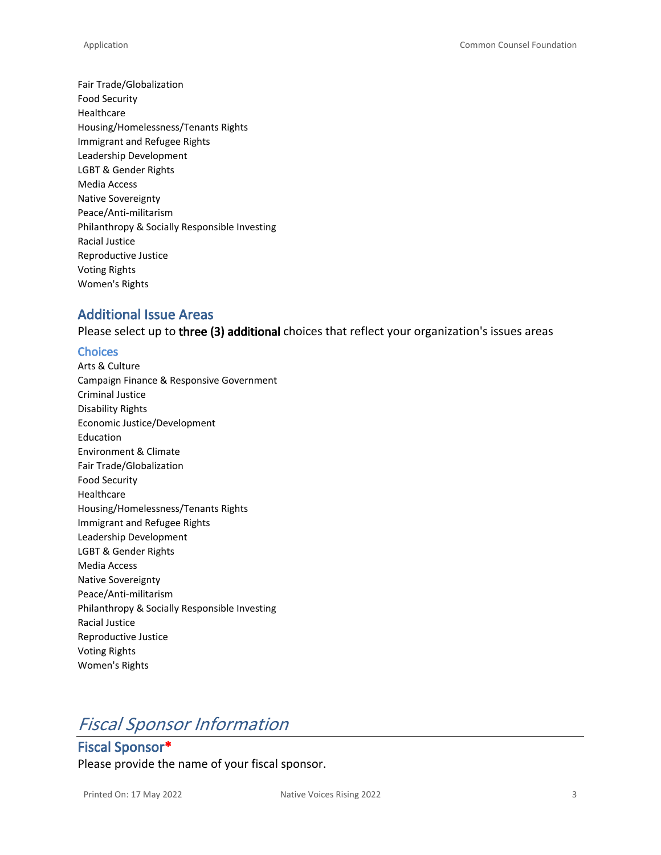Fair Trade/Globalization Food Security Healthcare Housing/Homelessness/Tenants Rights Immigrant and Refugee Rights Leadership Development LGBT & Gender Rights Media Access Native Sovereignty Peace/Anti-militarism Philanthropy & Socially Responsible Investing Racial Justice Reproductive Justice Voting Rights Women's Rights

### **Additional Issue Areas**

Please select up to **three (3) additional** choices that reflect your organization's issues areas

#### **Choices**

Arts & Culture Campaign Finance & Responsive Government Criminal Justice Disability Rights Economic Justice/Development Education Environment & Climate Fair Trade/Globalization Food Security Healthcare Housing/Homelessness/Tenants Rights Immigrant and Refugee Rights Leadership Development LGBT & Gender Rights Media Access Native Sovereignty Peace/Anti-militarism Philanthropy & Socially Responsible Investing Racial Justice Reproductive Justice Voting Rights Women's Rights

# *Fiscal Sponsor Information*

**Fiscal Sponsor\*** Please provide the name of your fiscal sponsor.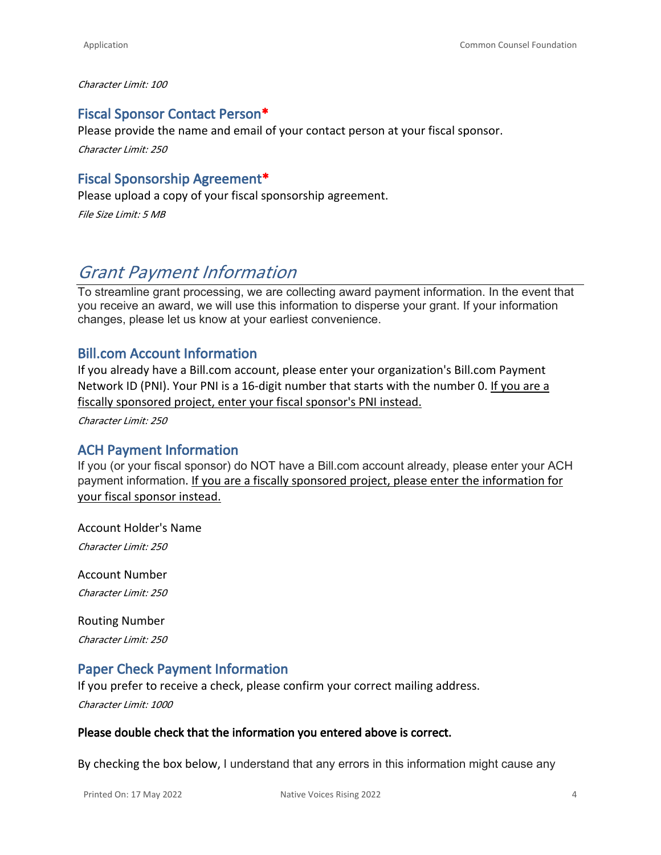*Character Limit: 100*

### **Fiscal Sponsor Contact Person\***

Please provide the name and email of your contact person at your fiscal sponsor. *Character Limit: 250*

# **Fiscal Sponsorship Agreement\***

Please upload a copy of your fiscal sponsorship agreement.

*File Size Limit: 5 MB*

# *Grant Payment Information*

To streamline grant processing, we are collecting award payment information. In the event that you receive an award, we will use this information to disperse your grant. If your information changes, please let us know at your earliest convenience.

# **Bill.com Account Information**

If you already have a Bill.com account, please enter your organization's Bill.com Payment Network ID (PNI). Your PNI is a 16-digit number that starts with the number 0. If you are a fiscally sponsored project, enter your fiscal sponsor's PNI instead.

*Character Limit: 250*

### **ACH Payment Information**

If you (or your fiscal sponsor) do NOT have a Bill.com account already, please enter your ACH payment information. If you are a fiscally sponsored project, please enter the information for your fiscal sponsor instead.

Account Holder's Name

*Character Limit: 250*

Account Number *Character Limit: 250*

Routing Number *Character Limit: 250*

# **Paper Check Payment Information**

If you prefer to receive a check, please confirm your correct mailing address.

*Character Limit: 1000*

#### **Please double check that the information you entered above is correct.**

By checking the box below, I understand that any errors in this information might cause any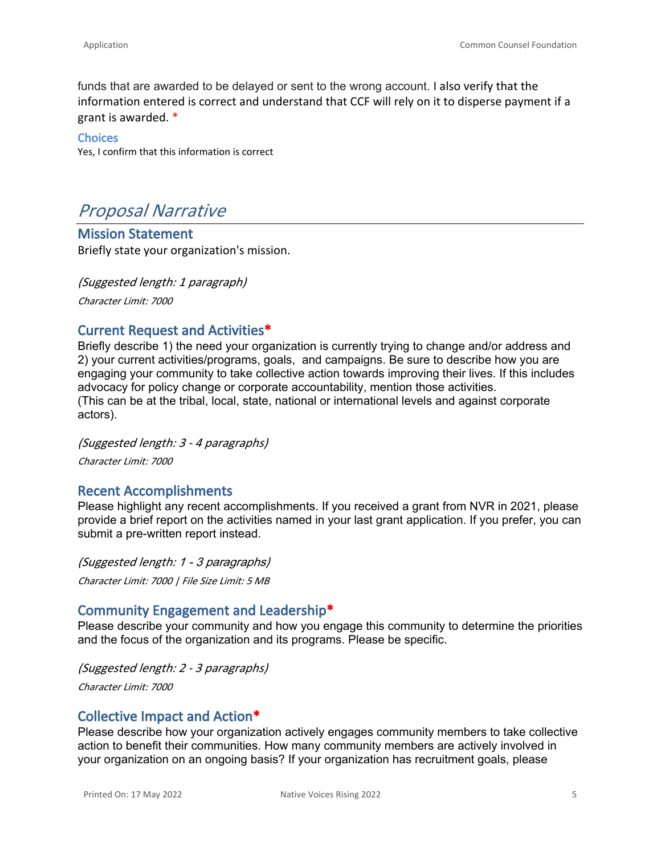funds that are awarded to be delayed or sent to the wrong account. I also verify that the information entered is correct and understand that CCF will rely on it to disperse payment if a grant is awarded. \*

**Choices** Yes, I confirm that this information is correct

# *Proposal Narrative*

**Mission Statement** Briefly state your organization's mission.

*(Suggested length: 1 paragraph) Character Limit: 7000*

# **Current Request and Activities\***

Briefly describe 1) the need your organization is currently trying to change and/or address and 2) your current activities/programs, goals, and campaigns. Be sure to describe how you are engaging your community to take collective action towards improving their lives. If this includes advocacy for policy change or corporate accountability, mention those activities. (This can be at the tribal, local, state, national or international levels and against corporate actors).

*(Suggested length: 3 - 4 paragraphs)*

*Character Limit: 7000*

# **Recent Accomplishments**

Please highlight any recent accomplishments. If you received a grant from NVR in 2021, please provide a brief report on the activities named in your last grant application. If you prefer, you can submit a pre-written report instead.

*(Suggested length: 1 - 3 paragraphs) Character Limit: 7000 | File Size Limit: 5 MB*

# **Community Engagement and Leadership\***

Please describe your community and how you engage this community to determine the priorities and the focus of the organization and its programs. Please be specific.

*(Suggested length: 2 - 3 paragraphs) Character Limit: 7000*

# **Collective Impact and Action\***

Please describe how your organization actively engages community members to take collective action to benefit their communities. How many community members are actively involved in your organization on an ongoing basis? If your organization has recruitment goals, please